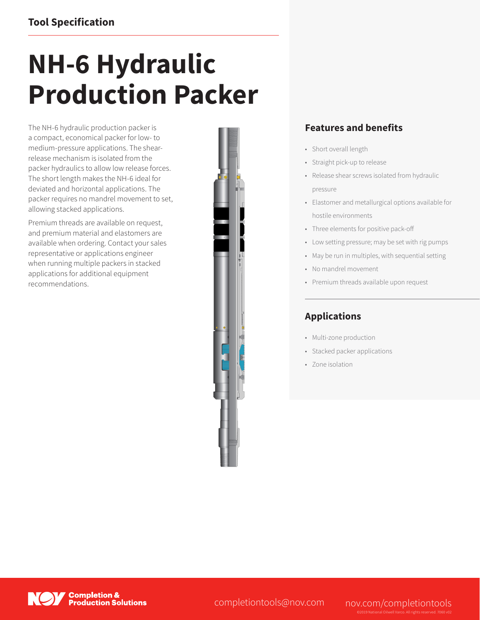## **NH-6 Hydraulic Production Packer**

The NH-6 hydraulic production packer is a compact, economical packer for low- to medium-pressure applications. The shearrelease mechanism is isolated from the packer hydraulics to allow low release forces. The short length makes the NH-6 ideal for deviated and horizontal applications. The packer requires no mandrel movement to set, allowing stacked applications.

Premium threads are available on request, and premium material and elastomers are available when ordering. Contact your sales representative or applications engineer when running multiple packers in stacked applications for additional equipment recommendations.



## **Features and benefits**

- Short overall length
- Straight pick-up to release
- Release shear screws isolated from hydraulic pressure
- Elastomer and metallurgical options available for hostile environments
- Three elements for positive pack-off
- Low setting pressure; may be set with rig pumps
- May be run in multiples, with sequential setting
- No mandrel movement
- Premium threads available upon request

## **Applications**

- Multi-zone production
- Stacked packer applications
- Zone isolation



completiontools@nov.com nov.com/completiontools